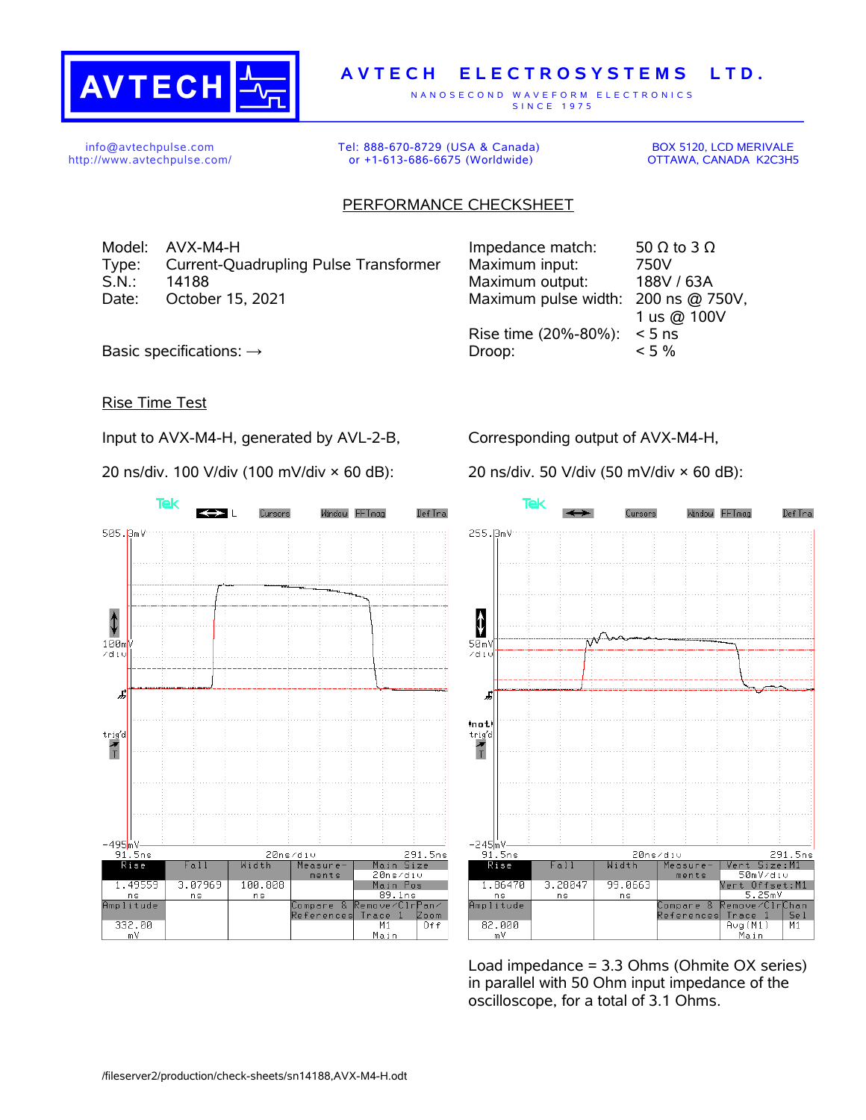

## **A V T E C H E L E C T R O S Y S T E M S L T D .**

N A N O S E C O N D W A V E F O R M E L E C T R O N I C S S IN C E 1975

info@avtechpulse.com http://www.avtechpulse.com/ Tel: 888-670-8729 (USA & Canada) or +1-613-686-6675 (Worldwide)

BOX 5120, LCD MERIVALE OTTAWA, CANADA K2C3H5

## PERFORMANCE CHECKSHEET

Model: AVX-M4-H Type: Current-Quadrupling Pulse Transformer S.N.: 14188 Maximum output: 188V / 63A Date: October 15, 2021

| Impedance match:     | 50 $\Omega$ to 3 $\Omega$ |
|----------------------|---------------------------|
| Maximum input:       | 750V                      |
| Maximum output:      | 188V / 63A                |
| Maximum pulse width: | 200 ns @ 750V,            |
|                      | 1 us @ 100V               |
| Rise time (20%-80%): | $< 5$ ns                  |
| Droop:               | $< 5\%$                   |
|                      |                           |

Basic specifications:  $\rightarrow$ 

Rise Time Test

Input to AVX-M4-H, generated by AVL-2-B,

20 ns/div. 100 V/div (100 mV/div × 60 dB):

Corresponding output of AVX-M4-H,

20 ns/div. 50 V/div (50 mV/div × 60 dB):





Load impedance = 3.3 Ohms (Ohmite OX series) in parallel with 50 Ohm input impedance of the oscilloscope, for a total of 3.1 Ohms.

/fileserver2/production/check-sheets/sn14188,AVX-M4-H.odt